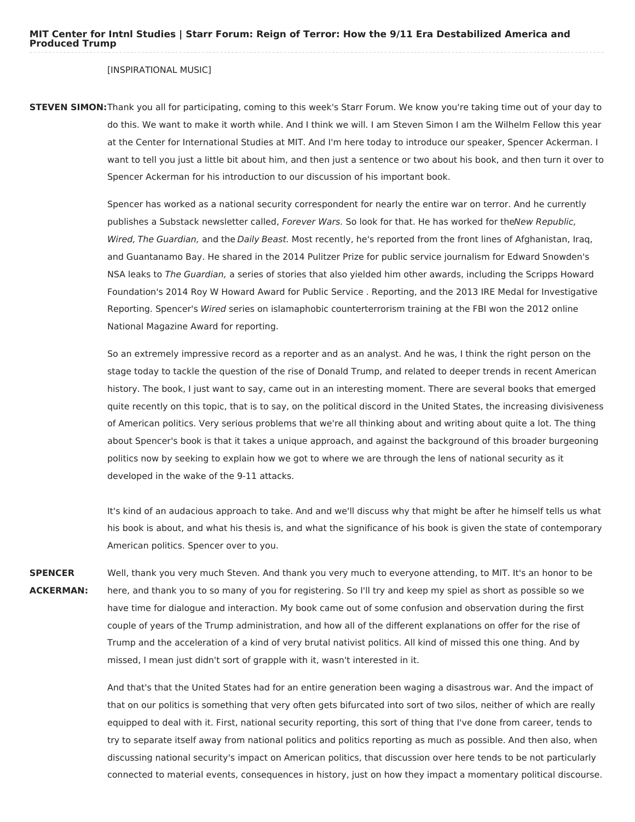MIT Center for Intnl Studies | Starr Forum: Reign of Terror: How the 9/11 Era Destabilized America and **Produced Trump**

### [INSPIRATIONAL MUSIC]

**STEVEN SIMON:**Thank you all for participating, coming to this week's Starr Forum. We know you're taking time out of your day to do this. We want to make it worth while. And I think we will. I am Steven Simon I am the Wilhelm Fellow this year at the Center for International Studies at MIT. And I'm here today to introduce our speaker, Spencer Ackerman. I want to tell you just a little bit about him, and then just a sentence or two about his book, and then turn it over to Spencer Ackerman for his introduction to our discussion of his important book.

> Spencer has worked as a national security correspondent for nearly the entire war on terror. And he currently publishes a Substack newsletter called, Forever Wars. So look for that. He has worked for theNew Republic, Wired, The Guardian, and the Daily Beast. Most recently, he's reported from the front lines of Afghanistan, Iraq, and Guantanamo Bay. He shared in the 2014 Pulitzer Prize for public service journalism for Edward Snowden's NSA leaks to The Guardian, a series of stories that also yielded him other awards, including the Scripps Howard Foundation's 2014 Roy W Howard Award for Public Service . Reporting, and the 2013 IRE Medal for Investigative Reporting. Spencer's Wired series on islamaphobic counterterrorism training at the FBI won the 2012 online National Magazine Award for reporting.

So an extremely impressive record as a reporter and as an analyst. And he was, I think the right person on the stage today to tackle the question of the rise of Donald Trump, and related to deeper trends in recent American history. The book, I just want to say, came out in an interesting moment. There are several books that emerged quite recently on this topic, that is to say, on the political discord in the United States, the increasing divisiveness of American politics. Very serious problems that we're all thinking about and writing about quite a lot. The thing about Spencer's book is that it takes a unique approach, and against the background of this broader burgeoning politics now by seeking to explain how we got to where we are through the lens of national security as it developed in the wake of the 9-11 attacks.

It's kind of an audacious approach to take. And and we'll discuss why that might be after he himself tells us what his book is about, and what his thesis is, and what the significance of his book is given the state of contemporary American politics. Spencer over to you.

**SPENCER ACKERMAN:** Well, thank you very much Steven. And thank you very much to everyone attending, to MIT. It's an honor to be here, and thank you to so many of you for registering. So I'll try and keep my spiel as short as possible so we have time for dialogue and interaction. My book came out of some confusion and observation during the first couple of years of the Trump administration, and how all of the different explanations on offer for the rise of Trump and the acceleration of a kind of very brutal nativist politics. All kind of missed this one thing. And by missed, I mean just didn't sort of grapple with it, wasn't interested in it.

> And that's that the United States had for an entire generation been waging a disastrous war. And the impact of that on our politics is something that very often gets bifurcated into sort of two silos, neither of which are really equipped to deal with it. First, national security reporting, this sort of thing that I've done from career, tends to try to separate itself away from national politics and politics reporting as much as possible. And then also, when discussing national security's impact on American politics, that discussion over here tends to be not particularly connected to material events, consequences in history, just on how they impact a momentary political discourse.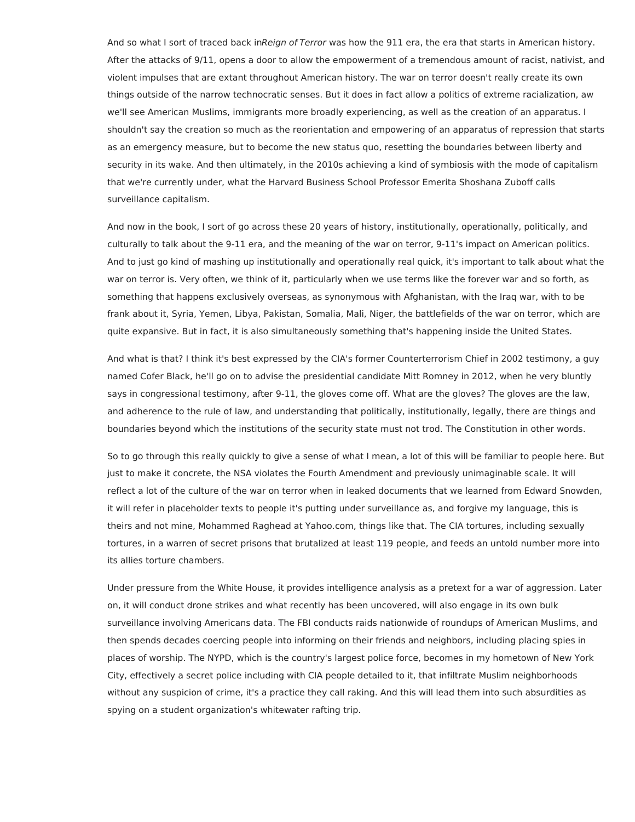And so what I sort of traced back inReign of Terror was how the 911 era, the era that starts in American history. After the attacks of 9/11, opens a door to allow the empowerment of a tremendous amount of racist, nativist, and violent impulses that are extant throughout American history. The war on terror doesn't really create its own things outside of the narrow technocratic senses. But it does in fact allow a politics of extreme racialization, aw we'll see American Muslims, immigrants more broadly experiencing, as well as the creation of an apparatus. I shouldn't say the creation so much as the reorientation and empowering of an apparatus of repression that starts as an emergency measure, but to become the new status quo, resetting the boundaries between liberty and security in its wake. And then ultimately, in the 2010s achieving a kind of symbiosis with the mode of capitalism that we're currently under, what the Harvard Business School Professor Emerita Shoshana Zuboff calls surveillance capitalism.

And now in the book, I sort of go across these 20 years of history, institutionally, operationally, politically, and culturally to talk about the 9-11 era, and the meaning of the war on terror, 9-11's impact on American politics. And to just go kind of mashing up institutionally and operationally real quick, it's important to talk about what the war on terror is. Very often, we think of it, particularly when we use terms like the forever war and so forth, as something that happens exclusively overseas, as synonymous with Afghanistan, with the Iraq war, with to be frank about it, Syria, Yemen, Libya, Pakistan, Somalia, Mali, Niger, the battlefields of the war on terror, which are quite expansive. But in fact, it is also simultaneously something that's happening inside the United States.

And what is that? I think it's best expressed by the CIA's former Counterterrorism Chief in 2002 testimony, a guy named Cofer Black, he'll go on to advise the presidential candidate Mitt Romney in 2012, when he very bluntly says in congressional testimony, after 9-11, the gloves come off. What are the gloves? The gloves are the law, and adherence to the rule of law, and understanding that politically, institutionally, legally, there are things and boundaries beyond which the institutions of the security state must not trod. The Constitution in other words.

So to go through this really quickly to give a sense of what I mean, a lot of this will be familiar to people here. But just to make it concrete, the NSA violates the Fourth Amendment and previously unimaginable scale. It will reflect a lot of the culture of the war on terror when in leaked documents that we learned from Edward Snowden, it will refer in placeholder texts to people it's putting under surveillance as, and forgive my language, this is theirs and not mine, Mohammed Raghead at Yahoo.com, things like that. The CIA tortures, including sexually tortures, in a warren of secret prisons that brutalized at least 119 people, and feeds an untold number more into its allies torture chambers.

Under pressure from the White House, it provides intelligence analysis as a pretext for a war of aggression. Later on, it will conduct drone strikes and what recently has been uncovered, will also engage in its own bulk surveillance involving Americans data. The FBI conducts raids nationwide of roundups of American Muslims, and then spends decades coercing people into informing on their friends and neighbors, including placing spies in places of worship. The NYPD, which is the country's largest police force, becomes in my hometown of New York City, effectively a secret police including with CIA people detailed to it, that infiltrate Muslim neighborhoods without any suspicion of crime, it's a practice they call raking. And this will lead them into such absurdities as spying on a student organization's whitewater rafting trip.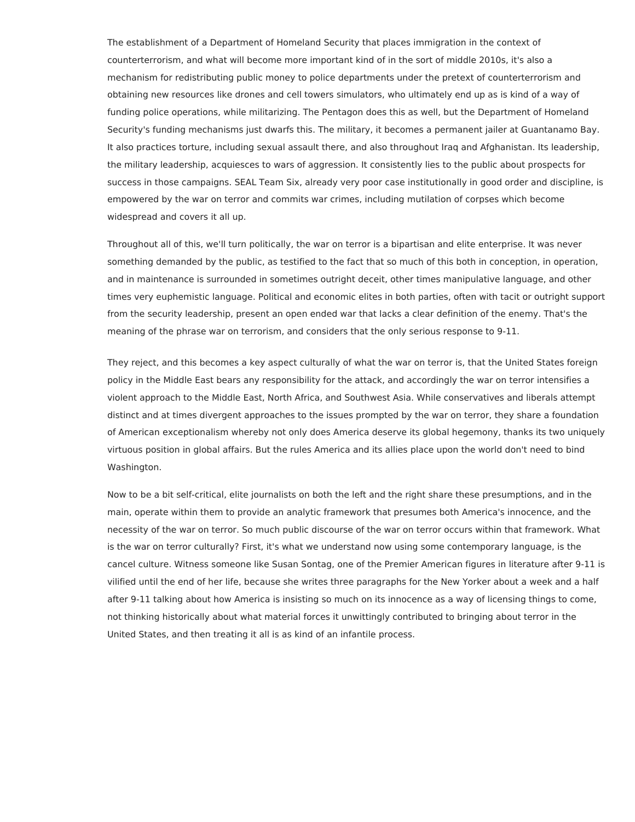The establishment of a Department of Homeland Security that places immigration in the context of counterterrorism, and what will become more important kind of in the sort of middle 2010s, it's also a mechanism for redistributing public money to police departments under the pretext of counterterrorism and obtaining new resources like drones and cell towers simulators, who ultimately end up as is kind of a way of funding police operations, while militarizing. The Pentagon does this as well, but the Department of Homeland Security's funding mechanisms just dwarfs this. The military, it becomes a permanent jailer at Guantanamo Bay. It also practices torture, including sexual assault there, and also throughout Iraq and Afghanistan. Its leadership, the military leadership, acquiesces to wars of aggression. It consistently lies to the public about prospects for success in those campaigns. SEAL Team Six, already very poor case institutionally in good order and discipline, is empowered by the war on terror and commits war crimes, including mutilation of corpses which become widespread and covers it all up.

Throughout all of this, we'll turn politically, the war on terror is a bipartisan and elite enterprise. It was never something demanded by the public, as testified to the fact that so much of this both in conception, in operation, and in maintenance is surrounded in sometimes outright deceit, other times manipulative language, and other times very euphemistic language. Political and economic elites in both parties, often with tacit or outright support from the security leadership, present an open ended war that lacks a clear definition of the enemy. That's the meaning of the phrase war on terrorism, and considers that the only serious response to 9-11.

They reject, and this becomes a key aspect culturally of what the war on terror is, that the United States foreign policy in the Middle East bears any responsibility for the attack, and accordingly the war on terror intensifies a violent approach to the Middle East, North Africa, and Southwest Asia. While conservatives and liberals attempt distinct and at times divergent approaches to the issues prompted by the war on terror, they share a foundation of American exceptionalism whereby not only does America deserve its global hegemony, thanks its two uniquely virtuous position in global affairs. But the rules America and its allies place upon the world don't need to bind Washington.

Now to be a bit self-critical, elite journalists on both the left and the right share these presumptions, and in the main, operate within them to provide an analytic framework that presumes both America's innocence, and the necessity of the war on terror. So much public discourse of the war on terror occurs within that framework. What is the war on terror culturally? First, it's what we understand now using some contemporary language, is the cancel culture. Witness someone like Susan Sontag, one of the Premier American figures in literature after 9-11 is vilified until the end of her life, because she writes three paragraphs for the New Yorker about a week and a half after 9-11 talking about how America is insisting so much on its innocence as a way of licensing things to come, not thinking historically about what material forces it unwittingly contributed to bringing about terror in the United States, and then treating it all is as kind of an infantile process.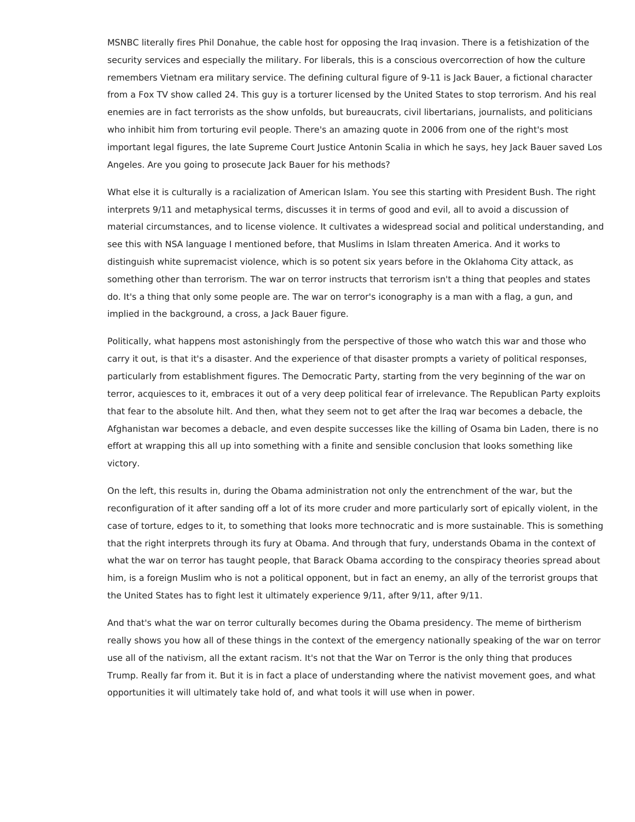MSNBC literally fires Phil Donahue, the cable host for opposing the Iraq invasion. There is a fetishization of the security services and especially the military. For liberals, this is a conscious overcorrection of how the culture remembers Vietnam era military service. The defining cultural figure of 9-11 is Jack Bauer, a fictional character from a Fox TV show called 24. This guy is a torturer licensed by the United States to stop terrorism. And his real enemies are in fact terrorists as the show unfolds, but bureaucrats, civil libertarians, journalists, and politicians who inhibit him from torturing evil people. There's an amazing quote in 2006 from one of the right's most important legal figures, the late Supreme Court Justice Antonin Scalia in which he says, hey Jack Bauer saved Los Angeles. Are you going to prosecute Jack Bauer for his methods?

What else it is culturally is a racialization of American Islam. You see this starting with President Bush. The right interprets 9/11 and metaphysical terms, discusses it in terms of good and evil, all to avoid a discussion of material circumstances, and to license violence. It cultivates a widespread social and political understanding, and see this with NSA language I mentioned before, that Muslims in Islam threaten America. And it works to distinguish white supremacist violence, which is so potent six years before in the Oklahoma City attack, as something other than terrorism. The war on terror instructs that terrorism isn't a thing that peoples and states do. It's a thing that only some people are. The war on terror's iconography is a man with a flag, a gun, and implied in the background, a cross, a Jack Bauer figure.

Politically, what happens most astonishingly from the perspective of those who watch this war and those who carry it out, is that it's a disaster. And the experience of that disaster prompts a variety of political responses, particularly from establishment figures. The Democratic Party, starting from the very beginning of the war on terror, acquiesces to it, embraces it out of a very deep political fear of irrelevance. The Republican Party exploits that fear to the absolute hilt. And then, what they seem not to get after the Iraq war becomes a debacle, the Afghanistan war becomes a debacle, and even despite successes like the killing of Osama bin Laden, there is no effort at wrapping this all up into something with a finite and sensible conclusion that looks something like victory.

On the left, this results in, during the Obama administration not only the entrenchment of the war, but the reconfiguration of it after sanding off a lot of its more cruder and more particularly sort of epically violent, in the case of torture, edges to it, to something that looks more technocratic and is more sustainable. This is something that the right interprets through its fury at Obama. And through that fury, understands Obama in the context of what the war on terror has taught people, that Barack Obama according to the conspiracy theories spread about him, is a foreign Muslim who is not a political opponent, but in fact an enemy, an ally of the terrorist groups that the United States has to fight lest it ultimately experience 9/11, after 9/11, after 9/11.

And that's what the war on terror culturally becomes during the Obama presidency. The meme of birtherism really shows you how all of these things in the context of the emergency nationally speaking of the war on terror use all of the nativism, all the extant racism. It's not that the War on Terror is the only thing that produces Trump. Really far from it. But it is in fact a place of understanding where the nativist movement goes, and what opportunities it will ultimately take hold of, and what tools it will use when in power.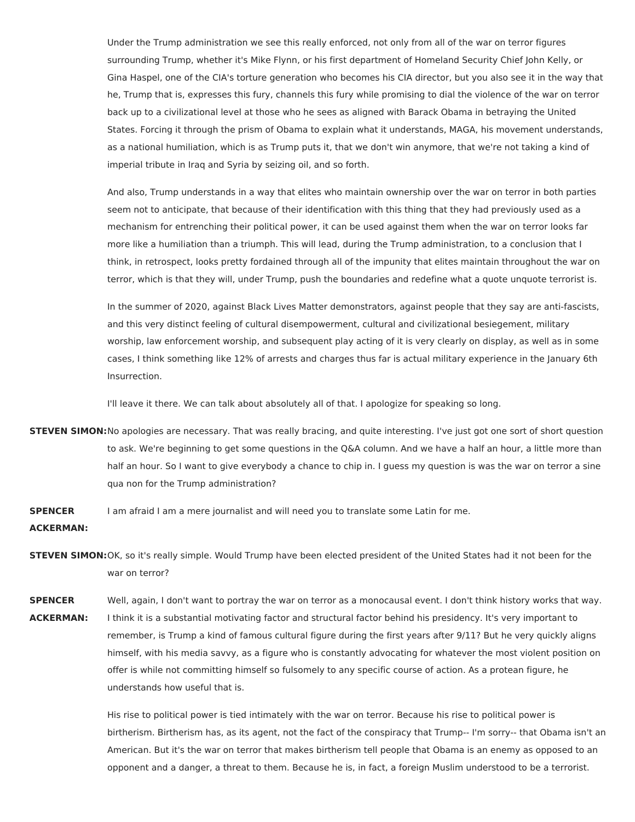Under the Trump administration we see this really enforced, not only from all of the war on terror figures surrounding Trump, whether it's Mike Flynn, or his first department of Homeland Security Chief John Kelly, or Gina Haspel, one of the CIA's torture generation who becomes his CIA director, but you also see it in the way that he, Trump that is, expresses this fury, channels this fury while promising to dial the violence of the war on terror back up to a civilizational level at those who he sees as aligned with Barack Obama in betraying the United States. Forcing it through the prism of Obama to explain what it understands, MAGA, his movement understands, as a national humiliation, which is as Trump puts it, that we don't win anymore, that we're not taking a kind of imperial tribute in Iraq and Syria by seizing oil, and so forth.

And also, Trump understands in a way that elites who maintain ownership over the war on terror in both parties seem not to anticipate, that because of their identification with this thing that they had previously used as a mechanism for entrenching their political power, it can be used against them when the war on terror looks far more like a humiliation than a triumph. This will lead, during the Trump administration, to a conclusion that I think, in retrospect, looks pretty fordained through all of the impunity that elites maintain throughout the war on terror, which is that they will, under Trump, push the boundaries and redefine what a quote unquote terrorist is.

In the summer of 2020, against Black Lives Matter demonstrators, against people that they say are anti-fascists, and this very distinct feeling of cultural disempowerment, cultural and civilizational besiegement, military worship, law enforcement worship, and subsequent play acting of it is very clearly on display, as well as in some cases, I think something like 12% of arrests and charges thus far is actual military experience in the January 6th Insurrection.

I'll leave it there. We can talk about absolutely all of that. I apologize for speaking so long.

- **STEVEN SIMON:**No apologies are necessary. That was really bracing, and quite interesting. I've just got one sort of short question to ask. We're beginning to get some questions in the Q&A column. And we have a half an hour, a little more than half an hour. So I want to give everybody a chance to chip in. I guess my guestion is was the war on terror a sine qua non for the Trump administration?
- **SPENCER** I am afraid I am a mere journalist and will need you to translate some Latin for me.

**ACKERMAN:**

- **STEVEN SIMON:**OK, so it's really simple. Would Trump have been elected president of the United States had it not been for the war on terror?
- **SPENCER ACKERMAN:** Well, again, I don't want to portray the war on terror as a monocausal event. I don't think history works that way. I think it is a substantial motivating factor and structural factor behind his presidency. It's very important to remember, is Trump a kind of famous cultural figure during the first years after 9/11? But he very quickly aligns himself, with his media savvy, as a figure who is constantly advocating for whatever the most violent position on offer is while not committing himself so fulsomely to any specific course of action. As a protean figure, he understands how useful that is.

His rise to political power is tied intimately with the war on terror. Because his rise to political power is birtherism. Birtherism has, as its agent, not the fact of the conspiracy that Trump-- I'm sorry-- that Obama isn't an American. But it's the war on terror that makes birtherism tell people that Obama is an enemy as opposed to an opponent and a danger, a threat to them. Because he is, in fact, a foreign Muslim understood to be a terrorist.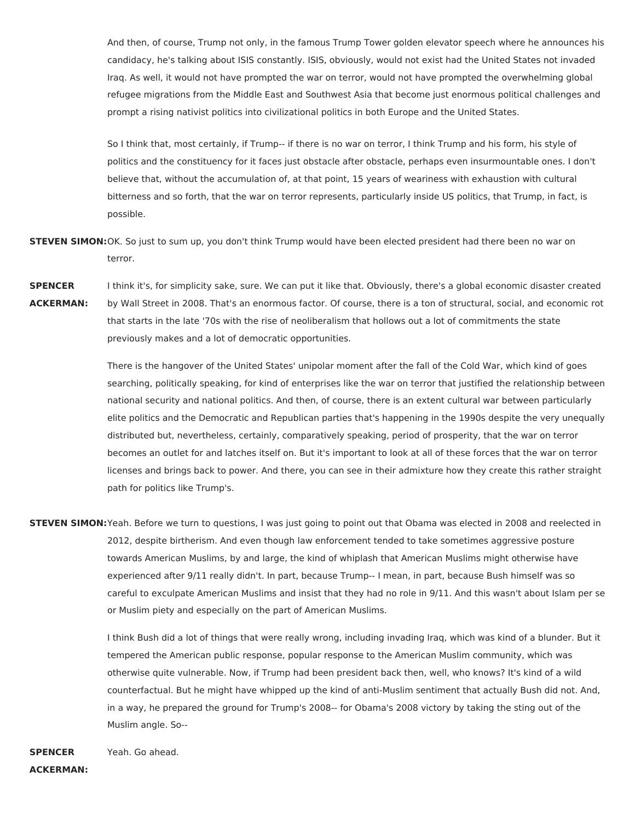And then, of course, Trump not only, in the famous Trump Tower golden elevator speech where he announces his candidacy, he's talking about ISIS constantly. ISIS, obviously, would not exist had the United States not invaded Iraq. As well, it would not have prompted the war on terror, would not have prompted the overwhelming global refugee migrations from the Middle East and Southwest Asia that become just enormous political challenges and prompt a rising nativist politics into civilizational politics in both Europe and the United States.

So I think that, most certainly, if Trump-- if there is no war on terror, I think Trump and his form, his style of politics and the constituency for it faces just obstacle after obstacle, perhaps even insurmountable ones. I don't believe that, without the accumulation of, at that point, 15 years of weariness with exhaustion with cultural bitterness and so forth, that the war on terror represents, particularly inside US politics, that Trump, in fact, is possible.

- **STEVEN SIMON:**OK. So just to sum up, you don't think Trump would have been elected president had there been no war on terror.
- **SPENCER ACKERMAN:** I think it's, for simplicity sake, sure. We can put it like that. Obviously, there's a global economic disaster created by Wall Street in 2008. That's an enormous factor. Of course, there is a ton of structural, social, and economic rot that starts in the late '70s with the rise of neoliberalism that hollows out a lot of commitments the state previously makes and a lot of democratic opportunities.

There is the hangover of the United States' unipolar moment after the fall of the Cold War, which kind of goes searching, politically speaking, for kind of enterprises like the war on terror that justified the relationship between national security and national politics. And then, of course, there is an extent cultural war between particularly elite politics and the Democratic and Republican parties that's happening in the 1990s despite the very unequally distributed but, nevertheless, certainly, comparatively speaking, period of prosperity, that the war on terror becomes an outlet for and latches itself on. But it's important to look at all of these forces that the war on terror licenses and brings back to power. And there, you can see in their admixture how they create this rather straight path for politics like Trump's.

**STEVEN SIMON:**Yeah. Before we turn to questions, I was just going to point out that Obama was elected in 2008 and reelected in 2012, despite birtherism. And even though law enforcement tended to take sometimes aggressive posture towards American Muslims, by and large, the kind of whiplash that American Muslims might otherwise have experienced after 9/11 really didn't. In part, because Trump-- I mean, in part, because Bush himself was so careful to exculpate American Muslims and insist that they had no role in 9/11. And this wasn't about Islam per se or Muslim piety and especially on the part of American Muslims.

> I think Bush did a lot of things that were really wrong, including invading Iraq, which was kind of a blunder. But it tempered the American public response, popular response to the American Muslim community, which was otherwise quite vulnerable. Now, if Trump had been president back then, well, who knows? It's kind of a wild counterfactual. But he might have whipped up the kind of anti-Muslim sentiment that actually Bush did not. And, in a way, he prepared the ground for Trump's 2008-- for Obama's 2008 victory by taking the sting out of the Muslim angle. So--

**SPENCER ACKERMAN:** Yeah. Go ahead.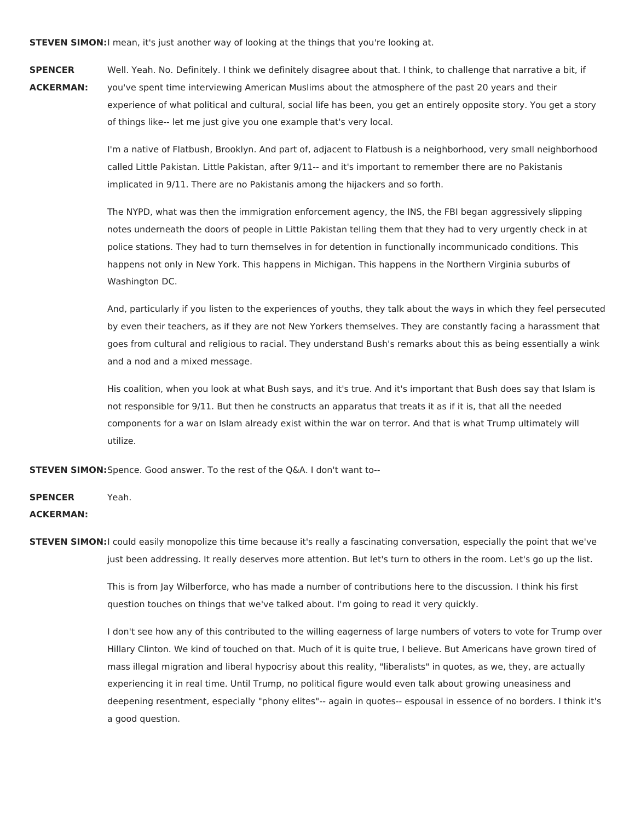**STEVEN SIMON:**I mean, it's just another way of looking at the things that you're looking at.

## **SPENCER ACKERMAN:** Well. Yeah. No. Definitely. I think we definitely disagree about that. I think, to challenge that narrative a bit, if you've spent time interviewing American Muslims about the atmosphere of the past 20 years and their experience of what political and cultural, social life has been, you get an entirely opposite story. You get a story of things like-- let me just give you one example that's very local.

I'm a native of Flatbush, Brooklyn. And part of, adjacent to Flatbush is a neighborhood, very small neighborhood called Little Pakistan. Little Pakistan, after 9/11-- and it's important to remember there are no Pakistanis implicated in 9/11. There are no Pakistanis among the hijackers and so forth.

The NYPD, what was then the immigration enforcement agency, the INS, the FBI began aggressively slipping notes underneath the doors of people in Little Pakistan telling them that they had to very urgently check in at police stations. They had to turn themselves in for detention in functionally incommunicado conditions. This happens not only in New York. This happens in Michigan. This happens in the Northern Virginia suburbs of Washington DC.

And, particularly if you listen to the experiences of youths, they talk about the ways in which they feel persecuted by even their teachers, as if they are not New Yorkers themselves. They are constantly facing a harassment that goes from cultural and religious to racial. They understand Bush's remarks about this as being essentially a wink and a nod and a mixed message.

His coalition, when you look at what Bush says, and it's true. And it's important that Bush does say that Islam is not responsible for 9/11. But then he constructs an apparatus that treats it as if it is, that all the needed components for a war on Islam already exist within the war on terror. And that is what Trump ultimately will utilize.

**STEVEN SIMON:**Spence. Good answer. To the rest of the Q&A. I don't want to--

#### **SPENCER** Yeah.

# **ACKERMAN:**

**STEVEN SIMON:**I could easily monopolize this time because it's really a fascinating conversation, especially the point that we've just been addressing. It really deserves more attention. But let's turn to others in the room. Let's go up the list.

> This is from Jay Wilberforce, who has made a number of contributions here to the discussion. I think his first question touches on things that we've talked about. I'm going to read it very quickly.

I don't see how any of this contributed to the willing eagerness of large numbers of voters to vote for Trump over Hillary Clinton. We kind of touched on that. Much of it is quite true, I believe. But Americans have grown tired of mass illegal migration and liberal hypocrisy about this reality, "liberalists" in quotes, as we, they, are actually experiencing it in real time. Until Trump, no political figure would even talk about growing uneasiness and deepening resentment, especially "phony elites"-- again in quotes-- espousal in essence of no borders. I think it's a good question.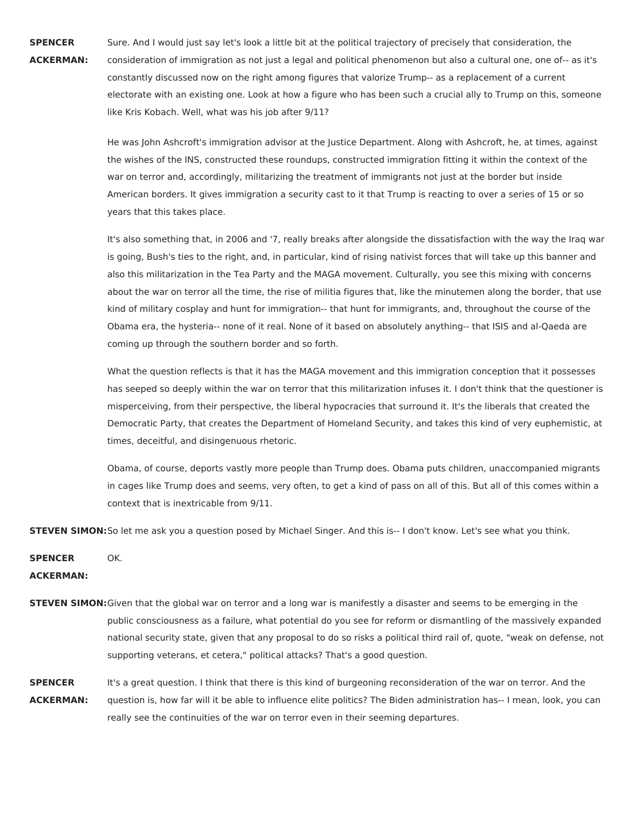**SPENCER ACKERMAN:** Sure. And I would just say let's look a little bit at the political trajectory of precisely that consideration, the consideration of immigration as not just a legal and political phenomenon but also a cultural one, one of-- as it's constantly discussed now on the right among figures that valorize Trump-- as a replacement of a current electorate with an existing one. Look at how a figure who has been such a crucial ally to Trump on this, someone like Kris Kobach. Well, what was his job after 9/11?

He was John Ashcroft's immigration advisor at the Justice Department. Along with Ashcroft, he, at times, against the wishes of the INS, constructed these roundups, constructed immigration fitting it within the context of the war on terror and, accordingly, militarizing the treatment of immigrants not just at the border but inside American borders. It gives immigration a security cast to it that Trump is reacting to over a series of 15 or so years that this takes place.

It's also something that, in 2006 and '7, really breaks after alongside the dissatisfaction with the way the Iraq war is going, Bush's ties to the right, and, in particular, kind of rising nativist forces that will take up this banner and also this militarization in the Tea Party and the MAGA movement. Culturally, you see this mixing with concerns about the war on terror all the time, the rise of militia figures that, like the minutemen along the border, that use kind of military cosplay and hunt for immigration-- that hunt for immigrants, and, throughout the course of the Obama era, the hysteria-- none of it real. None of it based on absolutely anything-- that ISIS and al-Qaeda are coming up through the southern border and so forth.

What the question reflects is that it has the MAGA movement and this immigration conception that it possesses has seeped so deeply within the war on terror that this militarization infuses it. I don't think that the questioner is misperceiving, from their perspective, the liberal hypocracies that surround it. It's the liberals that created the Democratic Party, that creates the Department of Homeland Security, and takes this kind of very euphemistic, at times, deceitful, and disingenuous rhetoric.

Obama, of course, deports vastly more people than Trump does. Obama puts children, unaccompanied migrants in cages like Trump does and seems, very often, to get a kind of pass on all of this. But all of this comes within a context that is inextricable from 9/11.

**STEVEN SIMON:**So let me ask you a question posed by Michael Singer. And this is-- I don't know. Let's see what you think.

**SPENCER** OK.

**ACKERMAN:**

- **STEVEN SIMON:**Given that the global war on terror and a long war is manifestly a disaster and seems to be emerging in the public consciousness as a failure, what potential do you see for reform or dismantling of the massively expanded national security state, given that any proposal to do so risks a political third rail of, quote, "weak on defense, not supporting veterans, et cetera," political attacks? That's a good question.
- **SPENCER ACKERMAN:** It's a great question. I think that there is this kind of burgeoning reconsideration of the war on terror. And the question is, how far will it be able to influence elite politics? The Biden administration has-- I mean, look, you can really see the continuities of the war on terror even in their seeming departures.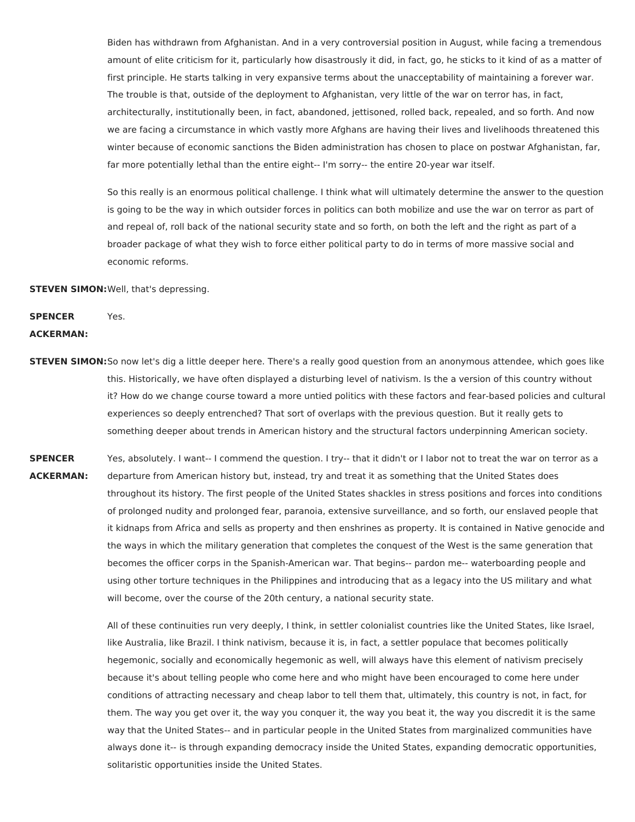Biden has withdrawn from Afghanistan. And in a very controversial position in August, while facing a tremendous amount of elite criticism for it, particularly how disastrously it did, in fact, go, he sticks to it kind of as a matter of first principle. He starts talking in very expansive terms about the unacceptability of maintaining a forever war. The trouble is that, outside of the deployment to Afghanistan, very little of the war on terror has, in fact, architecturally, institutionally been, in fact, abandoned, jettisoned, rolled back, repealed, and so forth. And now we are facing a circumstance in which vastly more Afghans are having their lives and livelihoods threatened this winter because of economic sanctions the Biden administration has chosen to place on postwar Afghanistan, far, far more potentially lethal than the entire eight-- I'm sorry-- the entire 20-year war itself.

So this really is an enormous political challenge. I think what will ultimately determine the answer to the question is going to be the way in which outsider forces in politics can both mobilize and use the war on terror as part of and repeal of, roll back of the national security state and so forth, on both the left and the right as part of a broader package of what they wish to force either political party to do in terms of more massive social and economic reforms.

**STEVEN SIMON:**Well, that's depressing.

**SPENCER ACKERMAN:** Yes.

- **STEVEN SIMON:**So now let's dig a little deeper here. There's a really good question from an anonymous attendee, which goes like this. Historically, we have often displayed a disturbing level of nativism. Is the a version of this country without it? How do we change course toward a more untied politics with these factors and fear-based policies and cultural experiences so deeply entrenched? That sort of overlaps with the previous question. But it really gets to something deeper about trends in American history and the structural factors underpinning American society.
- **SPENCER ACKERMAN:** Yes, absolutely. I want-- I commend the question. I try-- that it didn't or I labor not to treat the war on terror as a departure from American history but, instead, try and treat it as something that the United States does throughout its history. The first people of the United States shackles in stress positions and forces into conditions of prolonged nudity and prolonged fear, paranoia, extensive surveillance, and so forth, our enslaved people that it kidnaps from Africa and sells as property and then enshrines as property. It is contained in Native genocide and the ways in which the military generation that completes the conquest of the West is the same generation that becomes the officer corps in the Spanish-American war. That begins-- pardon me-- waterboarding people and using other torture techniques in the Philippines and introducing that as a legacy into the US military and what will become, over the course of the 20th century, a national security state.

All of these continuities run very deeply, I think, in settler colonialist countries like the United States, like Israel, like Australia, like Brazil. I think nativism, because it is, in fact, a settler populace that becomes politically hegemonic, socially and economically hegemonic as well, will always have this element of nativism precisely because it's about telling people who come here and who might have been encouraged to come here under conditions of attracting necessary and cheap labor to tell them that, ultimately, this country is not, in fact, for them. The way you get over it, the way you conquer it, the way you beat it, the way you discredit it is the same way that the United States-- and in particular people in the United States from marginalized communities have always done it-- is through expanding democracy inside the United States, expanding democratic opportunities, solitaristic opportunities inside the United States.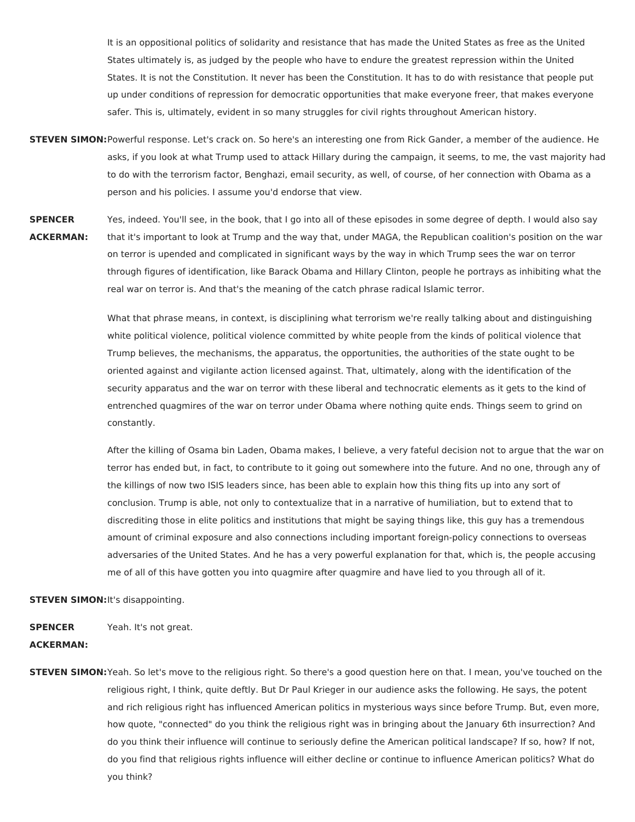It is an oppositional politics of solidarity and resistance that has made the United States as free as the United States ultimately is, as judged by the people who have to endure the greatest repression within the United States. It is not the Constitution. It never has been the Constitution. It has to do with resistance that people put up under conditions of repression for democratic opportunities that make everyone freer, that makes everyone safer. This is, ultimately, evident in so many struggles for civil rights throughout American history.

- **STEVEN SIMON:**Powerful response. Let's crack on. So here's an interesting one from Rick Gander, a member of the audience. He asks, if you look at what Trump used to attack Hillary during the campaign, it seems, to me, the vast majority had to do with the terrorism factor, Benghazi, email security, as well, of course, of her connection with Obama as a person and his policies. I assume you'd endorse that view.
- **SPENCER ACKERMAN:** Yes, indeed. You'll see, in the book, that I go into all of these episodes in some degree of depth. I would also say that it's important to look at Trump and the way that, under MAGA, the Republican coalition's position on the war on terror is upended and complicated in significant ways by the way in which Trump sees the war on terror through figures of identification, like Barack Obama and Hillary Clinton, people he portrays as inhibiting what the real war on terror is. And that's the meaning of the catch phrase radical Islamic terror.

What that phrase means, in context, is disciplining what terrorism we're really talking about and distinguishing white political violence, political violence committed by white people from the kinds of political violence that Trump believes, the mechanisms, the apparatus, the opportunities, the authorities of the state ought to be oriented against and vigilante action licensed against. That, ultimately, along with the identification of the security apparatus and the war on terror with these liberal and technocratic elements as it gets to the kind of entrenched quagmires of the war on terror under Obama where nothing quite ends. Things seem to grind on constantly.

After the killing of Osama bin Laden, Obama makes, I believe, a very fateful decision not to argue that the war on terror has ended but, in fact, to contribute to it going out somewhere into the future. And no one, through any of the killings of now two ISIS leaders since, has been able to explain how this thing fits up into any sort of conclusion. Trump is able, not only to contextualize that in a narrative of humiliation, but to extend that to discrediting those in elite politics and institutions that might be saying things like, this guy has a tremendous amount of criminal exposure and also connections including important foreign-policy connections to overseas adversaries of the United States. And he has a very powerful explanation for that, which is, the people accusing me of all of this have gotten you into quagmire after quagmire and have lied to you through all of it.

**STEVEN SIMON:**It's disappointing.

**SPENCER** Yeah. It's not great.

## **ACKERMAN:**

**STEVEN SIMON:**Yeah. So let's move to the religious right. So there's a good question here on that. I mean, you've touched on the religious right, I think, quite deftly. But Dr Paul Krieger in our audience asks the following. He says, the potent and rich religious right has influenced American politics in mysterious ways since before Trump. But, even more, how quote, "connected" do you think the religious right was in bringing about the January 6th insurrection? And do you think their influence will continue to seriously define the American political landscape? If so, how? If not, do you find that religious rights influence will either decline or continue to influence American politics? What do you think?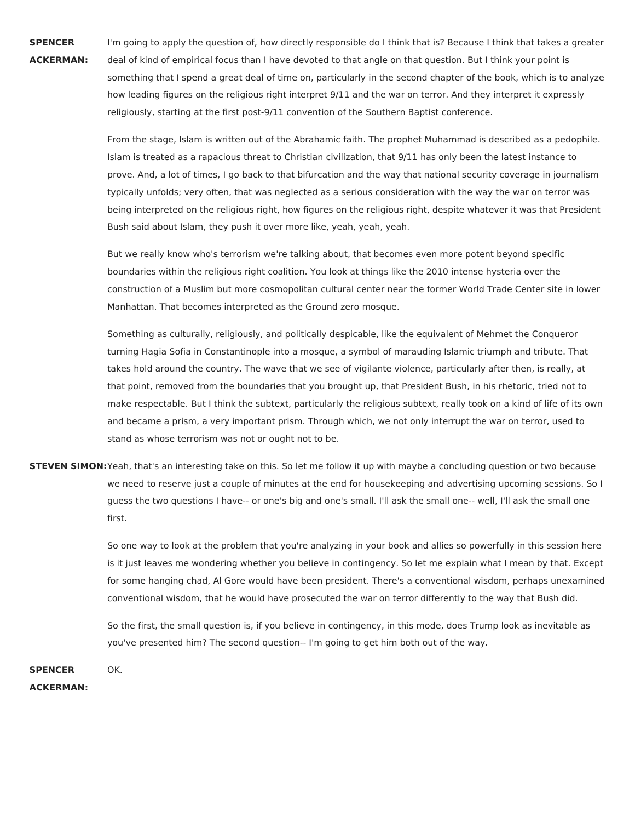**SPENCER ACKERMAN:** I'm going to apply the question of, how directly responsible do I think that is? Because I think that takes a greater deal of kind of empirical focus than I have devoted to that angle on that question. But I think your point is something that I spend a great deal of time on, particularly in the second chapter of the book, which is to analyze how leading figures on the religious right interpret 9/11 and the war on terror. And they interpret it expressly religiously, starting at the first post-9/11 convention of the Southern Baptist conference.

From the stage, Islam is written out of the Abrahamic faith. The prophet Muhammad is described as a pedophile. Islam is treated as a rapacious threat to Christian civilization, that 9/11 has only been the latest instance to prove. And, a lot of times, I go back to that bifurcation and the way that national security coverage in journalism typically unfolds; very often, that was neglected as a serious consideration with the way the war on terror was being interpreted on the religious right, how figures on the religious right, despite whatever it was that President Bush said about Islam, they push it over more like, yeah, yeah, yeah.

But we really know who's terrorism we're talking about, that becomes even more potent beyond specific boundaries within the religious right coalition. You look at things like the 2010 intense hysteria over the construction of a Muslim but more cosmopolitan cultural center near the former World Trade Center site in lower Manhattan. That becomes interpreted as the Ground zero mosque.

Something as culturally, religiously, and politically despicable, like the equivalent of Mehmet the Conqueror turning Hagia Sofia in Constantinople into a mosque, a symbol of marauding Islamic triumph and tribute. That takes hold around the country. The wave that we see of vigilante violence, particularly after then, is really, at that point, removed from the boundaries that you brought up, that President Bush, in his rhetoric, tried not to make respectable. But I think the subtext, particularly the religious subtext, really took on a kind of life of its own and became a prism, a very important prism. Through which, we not only interrupt the war on terror, used to stand as whose terrorism was not or ought not to be.

**STEVEN SIMON:**Yeah, that's an interesting take on this. So let me follow it up with maybe a concluding question or two because we need to reserve just a couple of minutes at the end for housekeeping and advertising upcoming sessions. So I guess the two questions I have-- or one's big and one's small. I'll ask the small one-- well, I'll ask the small one first.

> So one way to look at the problem that you're analyzing in your book and allies so powerfully in this session here is it just leaves me wondering whether you believe in contingency. So let me explain what I mean by that. Except for some hanging chad, Al Gore would have been president. There's a conventional wisdom, perhaps unexamined conventional wisdom, that he would have prosecuted the war on terror differently to the way that Bush did.

So the first, the small question is, if you believe in contingency, in this mode, does Trump look as inevitable as you've presented him? The second question-- I'm going to get him both out of the way.

**SPENCER ACKERMAN:** OK.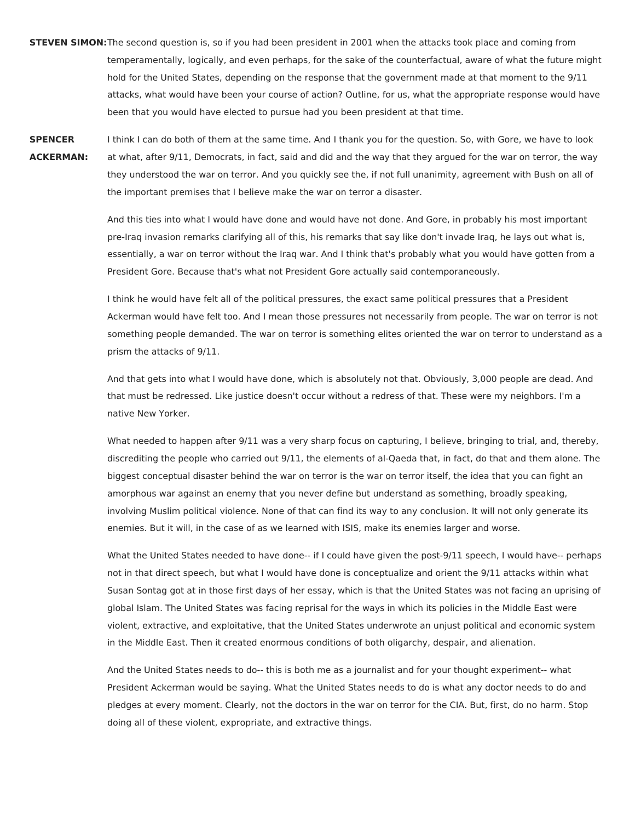- **STEVEN SIMON:**The second question is, so if you had been president in 2001 when the attacks took place and coming from temperamentally, logically, and even perhaps, for the sake of the counterfactual, aware of what the future might hold for the United States, depending on the response that the government made at that moment to the 9/11 attacks, what would have been your course of action? Outline, for us, what the appropriate response would have been that you would have elected to pursue had you been president at that time.
- **SPENCER ACKERMAN:** I think I can do both of them at the same time. And I thank you for the question. So, with Gore, we have to look at what, after 9/11, Democrats, in fact, said and did and the way that they argued for the war on terror, the way they understood the war on terror. And you quickly see the, if not full unanimity, agreement with Bush on all of the important premises that I believe make the war on terror a disaster.

And this ties into what I would have done and would have not done. And Gore, in probably his most important pre-Iraq invasion remarks clarifying all of this, his remarks that say like don't invade Iraq, he lays out what is, essentially, a war on terror without the Iraq war. And I think that's probably what you would have gotten from a President Gore. Because that's what not President Gore actually said contemporaneously.

I think he would have felt all of the political pressures, the exact same political pressures that a President Ackerman would have felt too. And I mean those pressures not necessarily from people. The war on terror is not something people demanded. The war on terror is something elites oriented the war on terror to understand as a prism the attacks of 9/11.

And that gets into what I would have done, which is absolutely not that. Obviously, 3,000 people are dead. And that must be redressed. Like justice doesn't occur without a redress of that. These were my neighbors. I'm a native New Yorker.

What needed to happen after 9/11 was a very sharp focus on capturing, I believe, bringing to trial, and, thereby, discrediting the people who carried out 9/11, the elements of al-Qaeda that, in fact, do that and them alone. The biggest conceptual disaster behind the war on terror is the war on terror itself, the idea that you can fight an amorphous war against an enemy that you never define but understand as something, broadly speaking, involving Muslim political violence. None of that can find its way to any conclusion. It will not only generate its enemies. But it will, in the case of as we learned with ISIS, make its enemies larger and worse.

What the United States needed to have done-- if I could have given the post-9/11 speech, I would have-- perhaps not in that direct speech, but what I would have done is conceptualize and orient the 9/11 attacks within what Susan Sontag got at in those first days of her essay, which is that the United States was not facing an uprising of global Islam. The United States was facing reprisal for the ways in which its policies in the Middle East were violent, extractive, and exploitative, that the United States underwrote an unjust political and economic system in the Middle East. Then it created enormous conditions of both oligarchy, despair, and alienation.

And the United States needs to do-- this is both me as a journalist and for your thought experiment-- what President Ackerman would be saying. What the United States needs to do is what any doctor needs to do and pledges at every moment. Clearly, not the doctors in the war on terror for the CIA. But, first, do no harm. Stop doing all of these violent, expropriate, and extractive things.